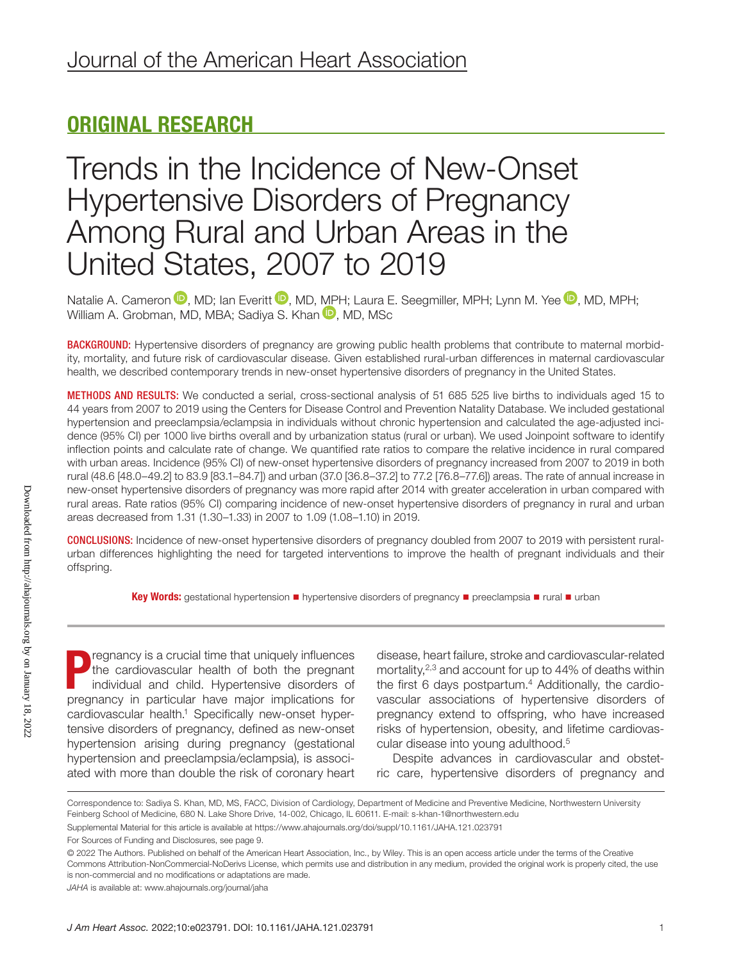## ORIGINAL RESEARCH

## Trends in the Incidence of New-Onset Hypertensive Disorders of Pregnancy Among Rural and Urban Areas in the United States, 2007 to 2019

Natalie A. Cameron  $\mathbf{D}$ [,](https://orcid.org/0000-0002-6274-0544) MD; Ian Everitt  $\mathbf{D}$ , MD, [MPH](https://orcid.org/0000-0003-0643-1859); Laura E. Seegmiller, MPH; Lynn M. Yee  $\mathbf{D}$ , MD, MPH; William A. Grobman, MD, MBA; Sadiya S. Khan **D**, MD, MSc

BACKGROUND: Hypertensive disorders of pregnancy are growing public health problems that contribute to maternal morbidity, mortality, and future risk of cardiovascular disease. Given established rural-urban differences in maternal cardiovascular health, we described contemporary trends in new-onset hypertensive disorders of pregnancy in the United States.

METHODS AND RESULTS: We conducted a serial, cross-sectional analysis of 51 685 525 live births to individuals aged 15 to 44 years from 2007 to 2019 using the Centers for Disease Control and Prevention Natality Database. We included gestational hypertension and preeclampsia/eclampsia in individuals without chronic hypertension and calculated the age-adjusted incidence (95% CI) per 1000 live births overall and by urbanization status (rural or urban). We used Joinpoint software to identify inflection points and calculate rate of change. We quantified rate ratios to compare the relative incidence in rural compared with urban areas. Incidence (95% CI) of new-onset hypertensive disorders of pregnancy increased from 2007 to 2019 in both rural (48.6 [48.0–49.2] to 83.9 [83.1–84.7]) and urban (37.0 [36.8–37.2] to 77.2 [76.8–77.6]) areas. The rate of annual increase in new-onset hypertensive disorders of pregnancy was more rapid after 2014 with greater acceleration in urban compared with rural areas. Rate ratios (95% CI) comparing incidence of new-onset hypertensive disorders of pregnancy in rural and urban areas decreased from 1.31 (1.30–1.33) in 2007 to 1.09 (1.08–1.10) in 2019.

CONCLUSIONS: Incidence of new-onset hypertensive disorders of pregnancy doubled from 2007 to 2019 with persistent ruralurban differences highlighting the need for targeted interventions to improve the health of pregnant individuals and their offspring.

Key Words: gestational hypertension ■ hypertensive disorders of pregnancy ■ preeclampsia ■ rural ■ urban

P<br>mod regnancy is a crucial time that uniquely influences the cardiovascular health of both the pregnant individual and child. Hypertensive disorders of pregnancy in particular have major implications for cardiovascular health.<sup>1</sup> Specifically new-onset hypertensive disorders of pregnancy, defined as new-onset hypertension arising during pregnancy (gestational hypertension and preeclampsia/eclampsia), is associated with more than double the risk of coronary heart

disease, heart failure, stroke and cardiovascular-related mortality,<sup>2,3</sup> and account for up to 44% of deaths within the first 6 days postpartum.<sup>4</sup> Additionally, the cardiovascular associations of hypertensive disorders of pregnancy extend to offspring, who have increased risks of hypertension, obesity, and lifetime cardiovascular disease into young adulthood.5

Despite advances in cardiovascular and obstetric care, hypertensive disorders of pregnancy and

Correspondence to: Sadiya S. Khan, MD, MS, FACC, Division of Cardiology, Department of Medicine and Preventive Medicine, Northwestern University Feinberg School of Medicine, 680 N. Lake Shore Drive, 14-002, Chicago, IL 60611. E-mail: [s-khan-1@northwestern.edu](mailto:s-khan-1@northwestern.edu)

Supplemental Material for this article is available at<https://www.ahajournals.org/doi/suppl/10.1161/JAHA.121.023791>

For Sources of Funding and Disclosures, see page 9.

<sup>© 2022</sup> The Authors. Published on behalf of the American Heart Association, Inc., by Wiley. This is an open access article under the terms of the [Creative](http://creativecommons.org/licenses/by-nc-nd/4.0/)  [Commons Attribution-NonCommercial-NoDerivs](http://creativecommons.org/licenses/by-nc-nd/4.0/) License, which permits use and distribution in any medium, provided the original work is properly cited, the use is non-commercial and no modifications or adaptations are made.

*JAHA* is available at: [www.ahajournals.org/journal/jaha](https://www.ahajournals.org/journal/jaha)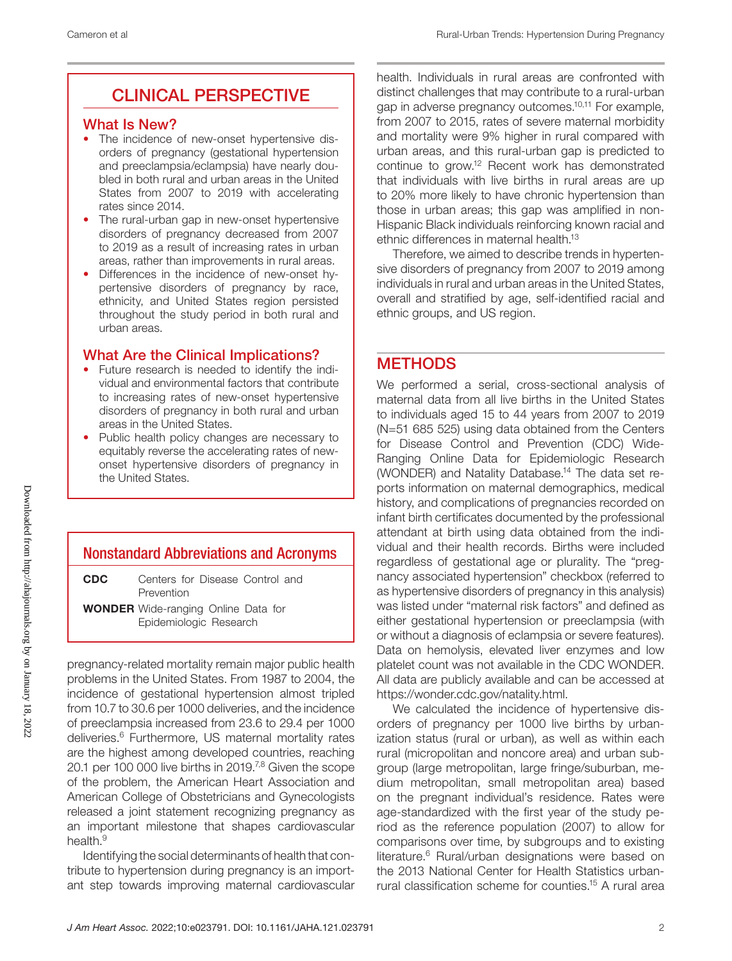## CLINICAL PERSPECTIVE

#### What Is New?

- The incidence of new-onset hypertensive disorders of pregnancy (gestational hypertension and preeclampsia/eclampsia) have nearly doubled in both rural and urban areas in the United States from 2007 to 2019 with accelerating rates since 2014.
- The rural-urban gap in new-onset hypertensive disorders of pregnancy decreased from 2007 to 2019 as a result of increasing rates in urban areas, rather than improvements in rural areas.
- Differences in the incidence of new-onset hypertensive disorders of pregnancy by race, ethnicity, and United States region persisted throughout the study period in both rural and urban areas.

## What Are the Clinical Implications?

- Future research is needed to identify the individual and environmental factors that contribute to increasing rates of new-onset hypertensive disorders of pregnancy in both rural and urban areas in the United States.
- Public health policy changes are necessary to equitably reverse the accelerating rates of newonset hypertensive disorders of pregnancy in the United States.

## Nonstandard Abbreviations and Acronyms

CDC Centers for Disease Control and Prevention

WONDER Wide-ranging Online Data for Epidemiologic Research

pregnancy-related mortality remain major public health problems in the United States. From 1987 to 2004, the incidence of gestational hypertension almost tripled from 10.7 to 30.6 per 1000 deliveries, and the incidence of preeclampsia increased from 23.6 to 29.4 per 1000 deliveries.6 Furthermore, US maternal mortality rates are the highest among developed countries, reaching 20.1 per 100 000 live births in 2019.<sup>7,8</sup> Given the scope of the problem, the American Heart Association and American College of Obstetricians and Gynecologists released a joint statement recognizing pregnancy as an important milestone that shapes cardiovascular health.<sup>9</sup>

Identifying the social determinants of health that contribute to hypertension during pregnancy is an important step towards improving maternal cardiovascular health. Individuals in rural areas are confronted with distinct challenges that may contribute to a rural-urban gap in adverse pregnancy outcomes.10,11 For example, from 2007 to 2015, rates of severe maternal morbidity and mortality were 9% higher in rural compared with urban areas, and this rural-urban gap is predicted to continue to grow.12 Recent work has demonstrated that individuals with live births in rural areas are up to 20% more likely to have chronic hypertension than those in urban areas; this gap was amplified in non-Hispanic Black individuals reinforcing known racial and ethnic differences in maternal health.<sup>13</sup>

Therefore, we aimed to describe trends in hypertensive disorders of pregnancy from 2007 to 2019 among individuals in rural and urban areas in the United States, overall and stratified by age, self-identified racial and ethnic groups, and US region.

## **METHODS**

We performed a serial, cross-sectional analysis of maternal data from all live births in the United States to individuals aged 15 to 44 years from 2007 to 2019 (N=51 685 525) using data obtained from the Centers for Disease Control and Prevention (CDC) Wide-Ranging Online Data for Epidemiologic Research (WONDER) and Natality Database.<sup>14</sup> The data set reports information on maternal demographics, medical history, and complications of pregnancies recorded on infant birth certificates documented by the professional attendant at birth using data obtained from the individual and their health records. Births were included regardless of gestational age or plurality. The "pregnancy associated hypertension" checkbox (referred to as hypertensive disorders of pregnancy in this analysis) was listed under "maternal risk factors" and defined as either gestational hypertension or preeclampsia (with or without a diagnosis of eclampsia or severe features). Data on hemolysis, elevated liver enzymes and low platelet count was not available in the CDC WONDER. All data are publicly available and can be accessed at [https://wonder.cdc.gov/natality.html.](https://wonder.cdc.gov/natality.html)

We calculated the incidence of hypertensive disorders of pregnancy per 1000 live births by urbanization status (rural or urban), as well as within each rural (micropolitan and noncore area) and urban subgroup (large metropolitan, large fringe/suburban, medium metropolitan, small metropolitan area) based on the pregnant individual's residence. Rates were age-standardized with the first year of the study period as the reference population (2007) to allow for comparisons over time, by subgroups and to existing literature.<sup>6</sup> Rural/urban designations were based on the 2013 National Center for Health Statistics urbanrural classification scheme for counties.15 A rural area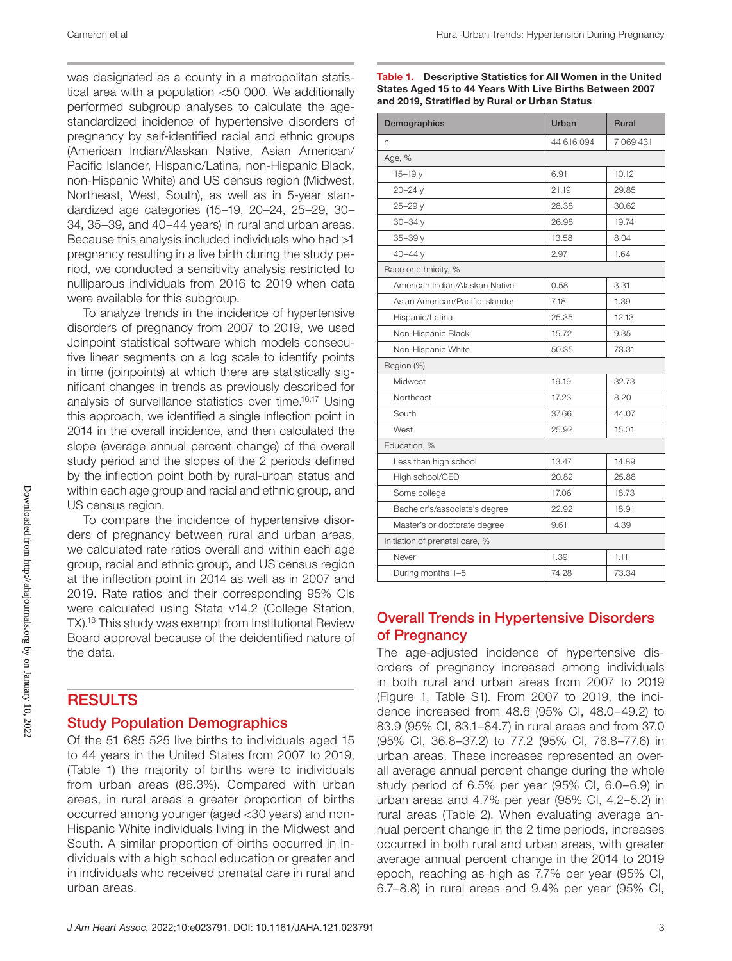was designated as a county in a metropolitan statistical area with a population <50 000. We additionally performed subgroup analyses to calculate the agestandardized incidence of hypertensive disorders of pregnancy by self-identified racial and ethnic groups (American Indian/Alaskan Native, Asian American/ Pacific Islander, Hispanic/Latina, non-Hispanic Black, non-Hispanic White) and US census region (Midwest, Northeast, West, South), as well as in 5-year standardized age categories (15–19, 20–24, 25–29, 30– 34, 35–39, and 40–44 years) in rural and urban areas. Because this analysis included individuals who had >1 pregnancy resulting in a live birth during the study period, we conducted a sensitivity analysis restricted to nulliparous individuals from 2016 to 2019 when data were available for this subgroup.

To analyze trends in the incidence of hypertensive disorders of pregnancy from 2007 to 2019, we used Joinpoint statistical software which models consecutive linear segments on a log scale to identify points in time (joinpoints) at which there are statistically significant changes in trends as previously described for analysis of surveillance statistics over time.16,17 Using this approach, we identified a single inflection point in 2014 in the overall incidence, and then calculated the slope (average annual percent change) of the overall study period and the slopes of the 2 periods defined by the inflection point both by rural-urban status and within each age group and racial and ethnic group, and US census region.

To compare the incidence of hypertensive disorders of pregnancy between rural and urban areas, we calculated rate ratios overall and within each age group, racial and ethnic group, and US census region at the inflection point in 2014 as well as in 2007 and 2019. Rate ratios and their corresponding 95% CIs were calculated using Stata v14.2 (College Station, TX).18 This study was exempt from Institutional Review Board approval because of the deidentified nature of the data.

#### **RESULTS**

#### Study Population Demographics

Of the 51 685 525 live births to individuals aged 15 to 44 years in the United States from 2007 to 2019, (Table 1) the majority of births were to individuals from urban areas (86.3%). Compared with urban areas, in rural areas a greater proportion of births occurred among younger (aged <30 years) and non-Hispanic White individuals living in the Midwest and South. A similar proportion of births occurred in individuals with a high school education or greater and in individuals who received prenatal care in rural and urban areas.

#### Table 1. Descriptive Statistics for All Women in the United States Aged 15 to 44 Years With Live Births Between 2007 and 2019, Stratified by Rural or Urban Status

| Demographics                    | Urban      | <b>Rural</b> |
|---------------------------------|------------|--------------|
| n                               | 44 616 094 | 7 069 431    |
| Age, %                          |            |              |
| $15 - 19$ y                     | 6.91       | 10.12        |
| $20 - 24y$                      | 21.19      | 29.85        |
| $25 - 29y$                      | 28.38      | 30.62        |
| $30 - 34y$                      | 26.98      | 19.74        |
| $35 - 39y$                      | 13.58      | 8.04         |
| $40 - 44$ y                     | 2.97       | 1.64         |
| Race or ethnicity, %            |            |              |
| American Indian/Alaskan Native  | 0.58       | 3.31         |
| Asian American/Pacific Islander | 7.18       | 1.39         |
| Hispanic/Latina                 | 25.35      | 12.13        |
| Non-Hispanic Black              | 15.72      | 9.35         |
| Non-Hispanic White              | 50.35      | 73.31        |
| Region (%)                      |            |              |
| Midwest                         | 19.19      | 32.73        |
| Northeast                       | 17.23      | 8.20         |
| South                           | 37.66      | 44.07        |
| West                            | 25.92      | 15.01        |
| Education, %                    |            |              |
| Less than high school           | 13.47      | 14.89        |
| High school/GED                 | 20.82      | 25.88        |
| Some college                    | 17.06      | 18.73        |
| Bachelor's/associate's degree   | 22.92      | 18.91        |
| Master's or doctorate degree    | 9.61       | 4.39         |
| Initiation of prenatal care, %  |            |              |
| Never                           | 1.39       | 1.11         |
| During months 1-5               | 74.28      | 73.34        |

## Overall Trends in Hypertensive Disorders of Pregnancy

The age-adjusted incidence of hypertensive disorders of pregnancy increased among individuals in both rural and urban areas from 2007 to 2019 (Figure 1, Table S1). From 2007 to 2019, the incidence increased from 48.6 (95% CI, 48.0–49.2) to 83.9 (95% CI, 83.1–84.7) in rural areas and from 37.0 (95% CI, 36.8–37.2) to 77.2 (95% CI, 76.8–77.6) in urban areas. These increases represented an overall average annual percent change during the whole study period of 6.5% per year (95% CI, 6.0–6.9) in urban areas and 4.7% per year (95% CI, 4.2–5.2) in rural areas (Table 2). When evaluating average annual percent change in the 2 time periods, increases occurred in both rural and urban areas, with greater average annual percent change in the 2014 to 2019 epoch, reaching as high as 7.7% per year (95% CI, 6.7–8.8) in rural areas and 9.4% per year (95% CI,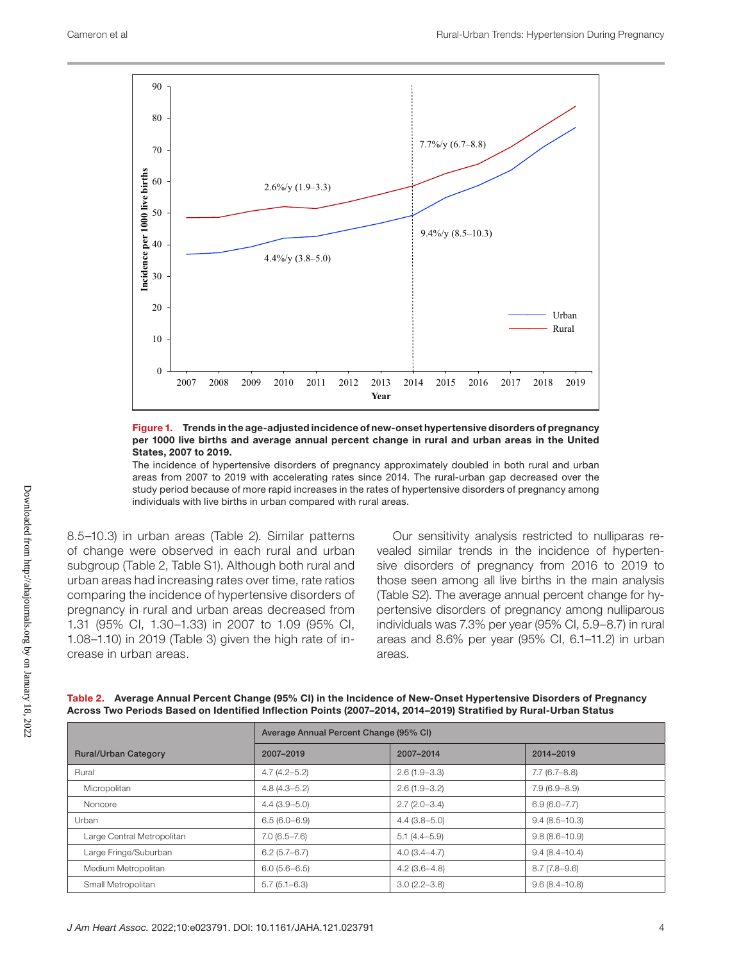

#### Figure 1. Trends in the age-adjusted incidence of new-onset hypertensive disorders of pregnancy per 1000 live births and average annual percent change in rural and urban areas in the United States, 2007 to 2019.

The incidence of hypertensive disorders of pregnancy approximately doubled in both rural and urban areas from 2007 to 2019 with accelerating rates since 2014. The rural-urban gap decreased over the study period because of more rapid increases in the rates of hypertensive disorders of pregnancy among individuals with live births in urban compared with rural areas.

8.5–10.3) in urban areas (Table 2). Similar patterns of change were observed in each rural and urban subgroup (Table 2, Table S1). Although both rural and urban areas had increasing rates over time, rate ratios comparing the incidence of hypertensive disorders of pregnancy in rural and urban areas decreased from 1.31 (95% CI, 1.30–1.33) in 2007 to 1.09 (95% CI, 1.08–1.10) in 2019 (Table 3) given the high rate of increase in urban areas.

Our sensitivity analysis restricted to nulliparas revealed similar trends in the incidence of hypertensive disorders of pregnancy from 2016 to 2019 to those seen among all live births in the main analysis (Table S2). The average annual percent change for hypertensive disorders of pregnancy among nulliparous individuals was 7.3% per year (95% CI, 5.9–8.7) in rural areas and 8.6% per year (95% CI, 6.1–11.2) in urban areas.

|                             | Average Annual Percent Change (95% CI) |                  |                   |
|-----------------------------|----------------------------------------|------------------|-------------------|
| <b>Rural/Urban Category</b> | 2007-2019                              | 2007-2014        | 2014-2019         |
| Rural                       | $4.7(4.2 - 5.2)$                       | $2.6(1.9 - 3.3)$ | 7.7(6.7–8.8)      |
| Micropolitan                | $4.8(4.3 - 5.2)$                       | $2.6(1.9 - 3.2)$ | $7.9(6.9 - 8.9)$  |
| Noncore                     | $4.4(3.9-5.0)$                         | $2.7(2.0 - 3.4)$ | $6.9(6.0 - 7.7)$  |
| Urban                       | $6.5(6.0 - 6.9)$                       | $4.4(3.8-5.0)$   | $9.4(8.5 - 10.3)$ |
| Large Central Metropolitan  | $7.0(6.5 - 7.6)$                       | $5.1(4.4 - 5.9)$ | $9.8(8.6 - 10.9)$ |
| Large Fringe/Suburban       | $6.2(5.7-6.7)$                         | $4.0(3.4 - 4.7)$ | $9.4(8.4-10.4)$   |
| Medium Metropolitan         | $6.0(5.6-6.5)$                         | $4.2(3.6-4.8)$   | $8.7(7.8-9.6)$    |
| Small Metropolitan          | $5.7(5.1 - 6.3)$                       | $3.0(2.2 - 3.8)$ | $9.6(8.4 - 10.8)$ |

Table 2. Average Annual Percent Change (95% CI) in the Incidence of New-Onset Hypertensive Disorders of Pregnancy Across Two Periods Based on Identified Inflection Points (2007–2014, 2014–2019) Stratified by Rural-Urban Status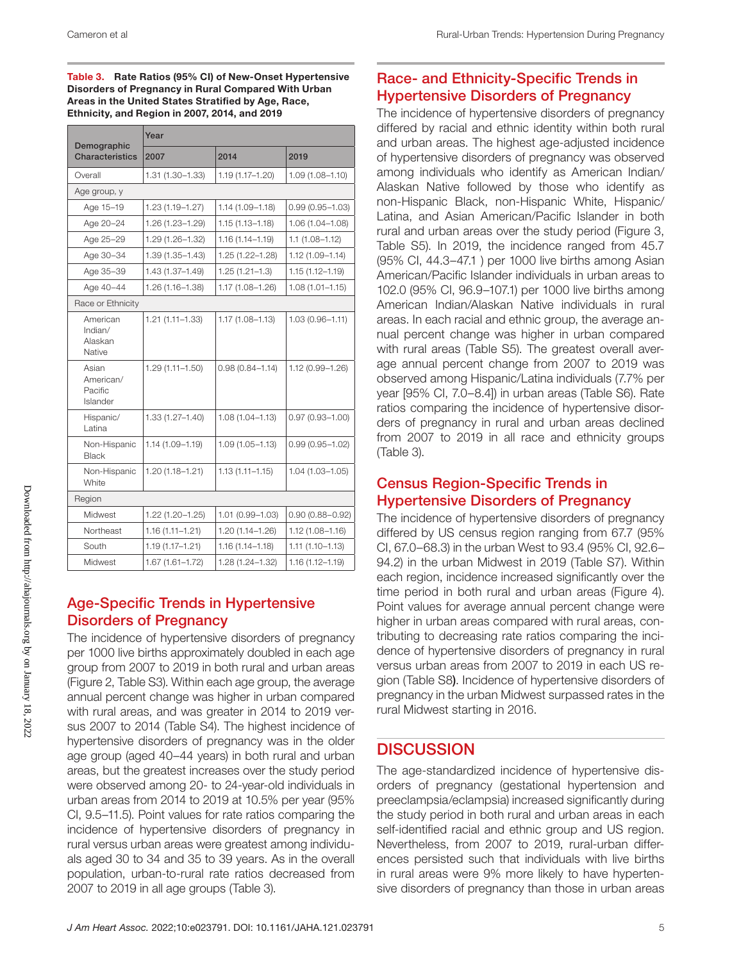Table 3. Rate Ratios (95% CI) of New-Onset Hypertensive Disorders of Pregnancy in Rural Compared With Urban Areas in the United States Stratified by Age, Race, Ethnicity, and Region in 2007, 2014, and 2019

| Demographic                               | Year                |                     |                     |  |
|-------------------------------------------|---------------------|---------------------|---------------------|--|
| <b>Characteristics</b>                    | 2007                | 2014                | 2019                |  |
| Overall                                   | $1.31(1.30 - 1.33)$ | 1.19 (1.17-1.20)    | $1.09(1.08 - 1.10)$ |  |
| Age group, y                              |                     |                     |                     |  |
| Age 15-19                                 | 1.23 (1.19-1.27)    | 1.14 (1.09-1.18)    | $0.99(0.95 - 1.03)$ |  |
| Age 20-24                                 | 1.26 (1.23-1.29)    | $1.15(1.13 - 1.18)$ | $1.06(1.04 - 1.08)$ |  |
| Age 25-29                                 | 1.29 (1.26-1.32)    | 1.16 (1.14-1.19)    | $1.1(1.08 - 1.12)$  |  |
| Age 30-34                                 | $1.39(1.35 - 1.43)$ | 1.25 (1.22-1.28)    | $1.12(1.09 - 1.14)$ |  |
| Age 35-39                                 | 1.43 (1.37-1.49)    | $1.25(1.21 - 1.3)$  | $1.15(1.12 - 1.19)$ |  |
| Age 40-44                                 | 1.26 (1.16-1.38)    | 1.17 (1.08-1.26)    | $1.08(1.01 - 1.15)$ |  |
| Race or Ethnicity                         |                     |                     |                     |  |
| American<br>Indian/<br>Alaskan<br>Native  | $1.21(1.11 - 1.33)$ | 1.17 (1.08-1.13)    | $1.03(0.96 - 1.11)$ |  |
| Asian<br>American/<br>Pacific<br>Islander | $1.29(1.11 - 1.50)$ | $0.98(0.84 - 1.14)$ | 1.12 (0.99-1.26)    |  |
| Hispanic/<br>Latina                       | $1.33(1.27 - 1.40)$ | $1.08(1.04 - 1.13)$ | $0.97(0.93 - 1.00)$ |  |
| Non-Hispanic<br>Black                     | 1.14 (1.09-1.19)    | $1.09(1.05 - 1.13)$ | $0.99(0.95 - 1.02)$ |  |
| Non-Hispanic<br>White                     | $1.20(1.18 - 1.21)$ | $1.13(1.11 - 1.15)$ | $1.04(1.03 - 1.05)$ |  |
| Region                                    |                     |                     |                     |  |
| Midwest                                   | $1.22(1.20 - 1.25)$ | 1.01 (0.99-1.03)    | $0.90(0.88 - 0.92)$ |  |
| Northeast                                 | $1.16(1.11 - 1.21)$ | 1.20 (1.14-1.26)    | $1.12(1.08 - 1.16)$ |  |
| South                                     | 1.19 (1.17-1.21)    | 1.16 (1.14-1.18)    | $1.11(1.10 - 1.13)$ |  |
| Midwest                                   | 1.67 (1.61-1.72)    | 1.28 (1.24-1.32)    | $1.16(1.12 - 1.19)$ |  |

#### Age-Specific Trends in Hypertensive Disorders of Pregnancy

The incidence of hypertensive disorders of pregnancy per 1000 live births approximately doubled in each age group from 2007 to 2019 in both rural and urban areas (Figure 2, Table S3). Within each age group, the average annual percent change was higher in urban compared with rural areas, and was greater in 2014 to 2019 versus 2007 to 2014 (Table S4). The highest incidence of hypertensive disorders of pregnancy was in the older age group (aged 40–44 years) in both rural and urban areas, but the greatest increases over the study period were observed among 20- to 24-year-old individuals in urban areas from 2014 to 2019 at 10.5% per year (95% CI, 9.5–11.5). Point values for rate ratios comparing the incidence of hypertensive disorders of pregnancy in rural versus urban areas were greatest among individuals aged 30 to 34 and 35 to 39 years. As in the overall population, urban-to-rural rate ratios decreased from 2007 to 2019 in all age groups (Table 3).

## Race- and Ethnicity-Specific Trends in Hypertensive Disorders of Pregnancy

The incidence of hypertensive disorders of pregnancy differed by racial and ethnic identity within both rural and urban areas. The highest age-adjusted incidence of hypertensive disorders of pregnancy was observed among individuals who identify as American Indian/ Alaskan Native followed by those who identify as non-Hispanic Black, non-Hispanic White, Hispanic/ Latina, and Asian American/Pacific Islander in both rural and urban areas over the study period (Figure 3, Table S5). In 2019, the incidence ranged from 45.7 (95% CI, 44.3–47.1 ) per 1000 live births among Asian American/Pacific Islander individuals in urban areas to 102.0 (95% CI, 96.9–107.1) per 1000 live births among American Indian/Alaskan Native individuals in rural areas. In each racial and ethnic group, the average annual percent change was higher in urban compared with rural areas (Table S5). The greatest overall average annual percent change from 2007 to 2019 was observed among Hispanic/Latina individuals (7.7% per year [95% CI, 7.0–8.4]) in urban areas (Table S6). Rate ratios comparing the incidence of hypertensive disorders of pregnancy in rural and urban areas declined from 2007 to 2019 in all race and ethnicity groups (Table 3).

## Census Region-Specific Trends in Hypertensive Disorders of Pregnancy

The incidence of hypertensive disorders of pregnancy differed by US census region ranging from 67.7 (95% CI, 67.0–68.3) in the urban West to 93.4 (95% CI, 92.6– 94.2) in the urban Midwest in 2019 (Table S7). Within each region, incidence increased significantly over the time period in both rural and urban areas (Figure 4). Point values for average annual percent change were higher in urban areas compared with rural areas, contributing to decreasing rate ratios comparing the incidence of hypertensive disorders of pregnancy in rural versus urban areas from 2007 to 2019 in each US region (Table S8). Incidence of hypertensive disorders of pregnancy in the urban Midwest surpassed rates in the rural Midwest starting in 2016.

## **DISCUSSION**

The age-standardized incidence of hypertensive disorders of pregnancy (gestational hypertension and preeclampsia/eclampsia) increased significantly during the study period in both rural and urban areas in each self-identified racial and ethnic group and US region. Nevertheless, from 2007 to 2019, rural-urban differences persisted such that individuals with live births in rural areas were 9% more likely to have hypertensive disorders of pregnancy than those in urban areas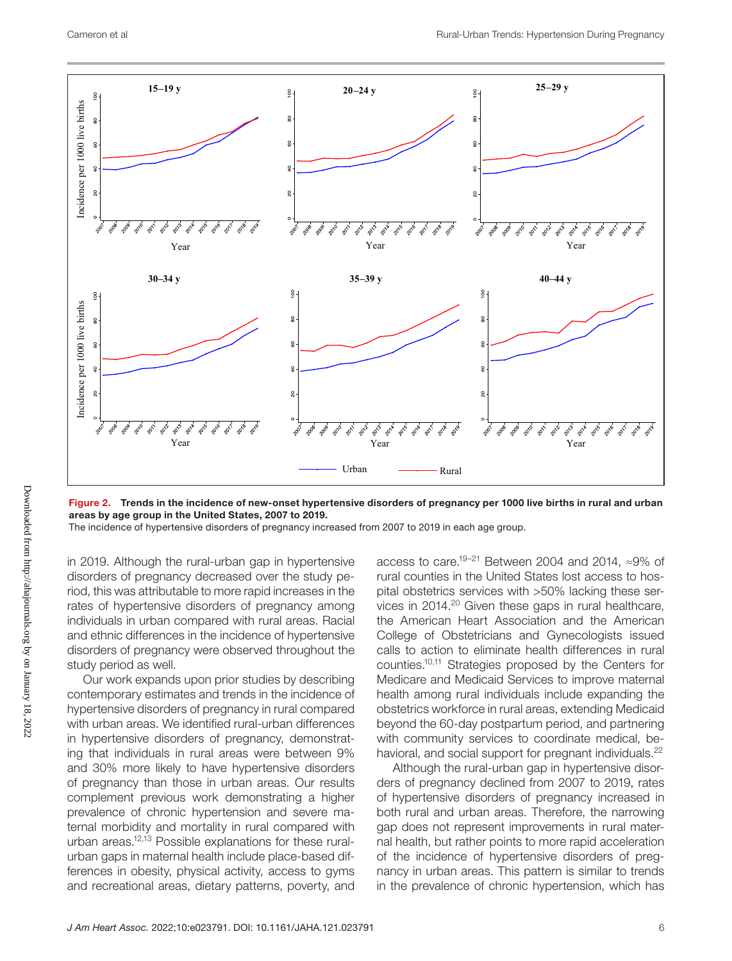

Figure 2. Trends in the incidence of new-onset hypertensive disorders of pregnancy per 1000 live births in rural and urban areas by age group in the United States, 2007 to 2019.

The incidence of hypertensive disorders of pregnancy increased from 2007 to 2019 in each age group.

in 2019. Although the rural-urban gap in hypertensive disorders of pregnancy decreased over the study period, this was attributable to more rapid increases in the rates of hypertensive disorders of pregnancy among individuals in urban compared with rural areas. Racial and ethnic differences in the incidence of hypertensive disorders of pregnancy were observed throughout the study period as well.

Our work expands upon prior studies by describing contemporary estimates and trends in the incidence of hypertensive disorders of pregnancy in rural compared with urban areas. We identified rural-urban differences in hypertensive disorders of pregnancy, demonstrating that individuals in rural areas were between 9% and 30% more likely to have hypertensive disorders of pregnancy than those in urban areas. Our results complement previous work demonstrating a higher prevalence of chronic hypertension and severe maternal morbidity and mortality in rural compared with urban areas.12,13 Possible explanations for these ruralurban gaps in maternal health include place-based differences in obesity, physical activity, access to gyms and recreational areas, dietary patterns, poverty, and

access to care.19–21 Between 2004 and 2014, ≈9% of rural counties in the United States lost access to hospital obstetrics services with >50% lacking these services in 2014.20 Given these gaps in rural healthcare, the American Heart Association and the American College of Obstetricians and Gynecologists issued calls to action to eliminate health differences in rural counties.10,11 Strategies proposed by the Centers for Medicare and Medicaid Services to improve maternal health among rural individuals include expanding the obstetrics workforce in rural areas, extending Medicaid beyond the 60-day postpartum period, and partnering with community services to coordinate medical, behavioral, and social support for pregnant individuals.<sup>22</sup>

Although the rural-urban gap in hypertensive disorders of pregnancy declined from 2007 to 2019, rates of hypertensive disorders of pregnancy increased in both rural and urban areas. Therefore, the narrowing gap does not represent improvements in rural maternal health, but rather points to more rapid acceleration of the incidence of hypertensive disorders of pregnancy in urban areas. This pattern is similar to trends in the prevalence of chronic hypertension, which has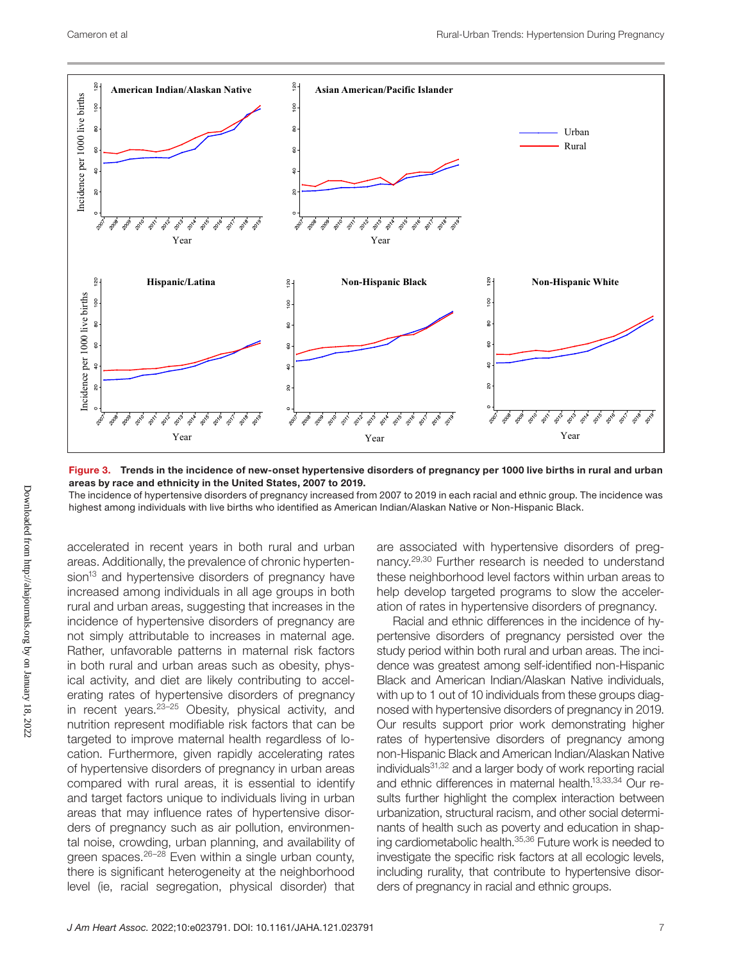

Figure 3. Trends in the incidence of new-onset hypertensive disorders of pregnancy per 1000 live births in rural and urban areas by race and ethnicity in the United States, 2007 to 2019.

The incidence of hypertensive disorders of pregnancy increased from 2007 to 2019 in each racial and ethnic group. The incidence was highest among individuals with live births who identified as American Indian/Alaskan Native or Non-Hispanic Black.

accelerated in recent years in both rural and urban areas. Additionally, the prevalence of chronic hypertension<sup>13</sup> and hypertensive disorders of pregnancy have increased among individuals in all age groups in both rural and urban areas, suggesting that increases in the incidence of hypertensive disorders of pregnancy are not simply attributable to increases in maternal age. Rather, unfavorable patterns in maternal risk factors in both rural and urban areas such as obesity, physical activity, and diet are likely contributing to accelerating rates of hypertensive disorders of pregnancy in recent years.23–25 Obesity, physical activity, and nutrition represent modifiable risk factors that can be targeted to improve maternal health regardless of location. Furthermore, given rapidly accelerating rates of hypertensive disorders of pregnancy in urban areas compared with rural areas, it is essential to identify and target factors unique to individuals living in urban areas that may influence rates of hypertensive disorders of pregnancy such as air pollution, environmental noise, crowding, urban planning, and availability of green spaces.<sup>26-28</sup> Even within a single urban county, there is significant heterogeneity at the neighborhood level (ie, racial segregation, physical disorder) that

are associated with hypertensive disorders of pregnancy.29,30 Further research is needed to understand these neighborhood level factors within urban areas to help develop targeted programs to slow the acceleration of rates in hypertensive disorders of pregnancy.

Racial and ethnic differences in the incidence of hypertensive disorders of pregnancy persisted over the study period within both rural and urban areas. The incidence was greatest among self-identified non-Hispanic Black and American Indian/Alaskan Native individuals, with up to 1 out of 10 individuals from these groups diagnosed with hypertensive disorders of pregnancy in 2019. Our results support prior work demonstrating higher rates of hypertensive disorders of pregnancy among non-Hispanic Black and American Indian/Alaskan Native individuals31,32 and a larger body of work reporting racial and ethnic differences in maternal health.13,33,34 Our results further highlight the complex interaction between urbanization, structural racism, and other social determinants of health such as poverty and education in shaping cardiometabolic health.35,36 Future work is needed to investigate the specific risk factors at all ecologic levels, including rurality, that contribute to hypertensive disorders of pregnancy in racial and ethnic groups.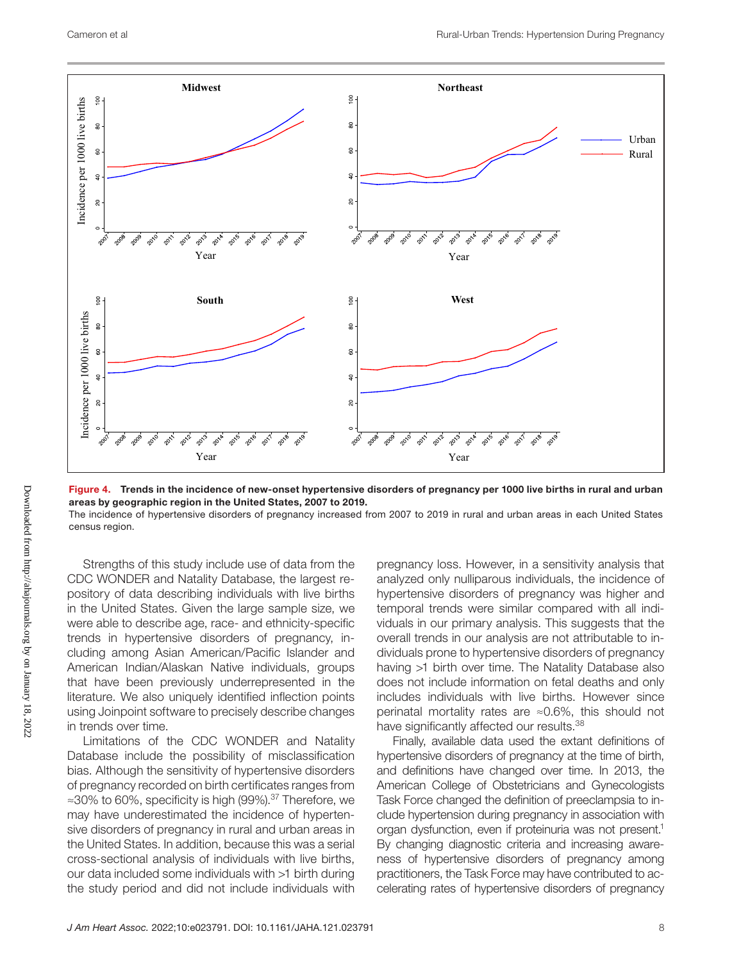

Figure 4. Trends in the incidence of new-onset hypertensive disorders of pregnancy per 1000 live births in rural and urban areas by geographic region in the United States, 2007 to 2019.

The incidence of hypertensive disorders of pregnancy increased from 2007 to 2019 in rural and urban areas in each United States census region.

Strengths of this study include use of data from the CDC WONDER and Natality Database, the largest repository of data describing individuals with live births in the United States. Given the large sample size, we were able to describe age, race- and ethnicity-specific trends in hypertensive disorders of pregnancy, including among Asian American/Pacific Islander and American Indian/Alaskan Native individuals, groups that have been previously underrepresented in the literature. We also uniquely identified inflection points using Joinpoint software to precisely describe changes in trends over time.

Limitations of the CDC WONDER and Natality Database include the possibility of misclassification bias. Although the sensitivity of hypertensive disorders of pregnancy recorded on birth certificates ranges from ≈30% to 60%, specificity is high (99%).37 Therefore, we may have underestimated the incidence of hypertensive disorders of pregnancy in rural and urban areas in the United States. In addition, because this was a serial cross-sectional analysis of individuals with live births, our data included some individuals with >1 birth during the study period and did not include individuals with

pregnancy loss. However, in a sensitivity analysis that analyzed only nulliparous individuals, the incidence of hypertensive disorders of pregnancy was higher and temporal trends were similar compared with all individuals in our primary analysis. This suggests that the overall trends in our analysis are not attributable to individuals prone to hypertensive disorders of pregnancy having >1 birth over time. The Natality Database also does not include information on fetal deaths and only includes individuals with live births. However since perinatal mortality rates are ≈0.6%, this should not have significantly affected our results.<sup>38</sup>

Finally, available data used the extant definitions of hypertensive disorders of pregnancy at the time of birth, and definitions have changed over time. In 2013, the American College of Obstetricians and Gynecologists Task Force changed the definition of preeclampsia to include hypertension during pregnancy in association with organ dysfunction, even if proteinuria was not present.<sup>1</sup> By changing diagnostic criteria and increasing awareness of hypertensive disorders of pregnancy among practitioners, the Task Force may have contributed to accelerating rates of hypertensive disorders of pregnancy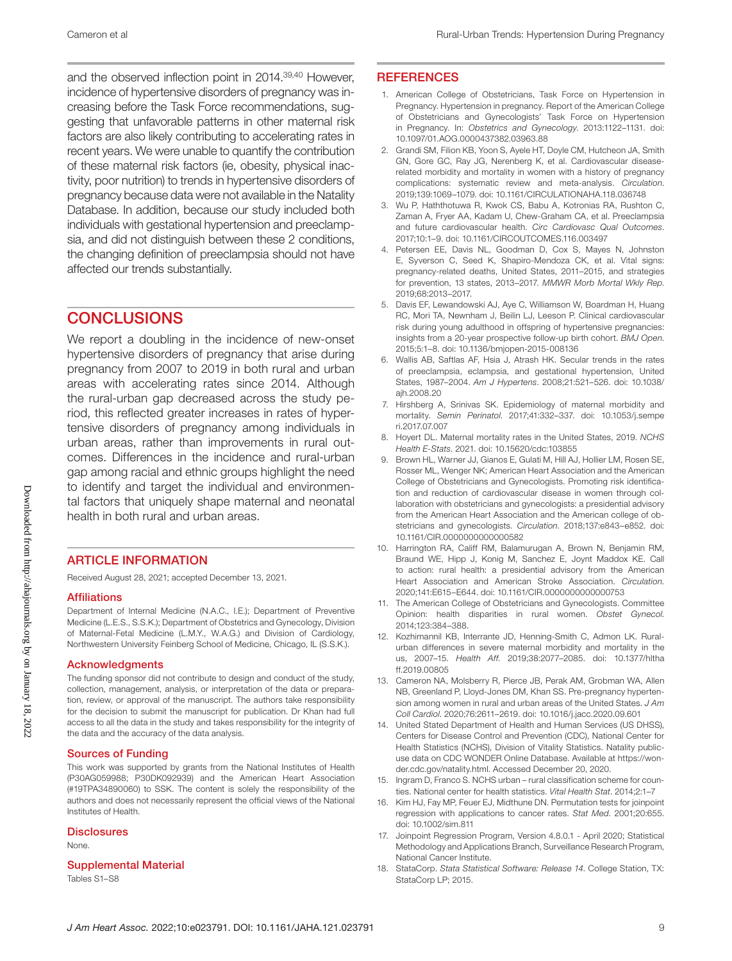and the observed inflection point in 2014.39,40 However, incidence of hypertensive disorders of pregnancy was increasing before the Task Force recommendations, suggesting that unfavorable patterns in other maternal risk factors are also likely contributing to accelerating rates in recent years. We were unable to quantify the contribution of these maternal risk factors (ie, obesity, physical inactivity, poor nutrition) to trends in hypertensive disorders of pregnancy because data were not available in the Natality Database. In addition, because our study included both individuals with gestational hypertension and preeclampsia, and did not distinguish between these 2 conditions, the changing definition of preeclampsia should not have affected our trends substantially.

## **CONCLUSIONS**

We report a doubling in the incidence of new-onset hypertensive disorders of pregnancy that arise during pregnancy from 2007 to 2019 in both rural and urban areas with accelerating rates since 2014. Although the rural-urban gap decreased across the study period, this reflected greater increases in rates of hypertensive disorders of pregnancy among individuals in urban areas, rather than improvements in rural outcomes. Differences in the incidence and rural-urban gap among racial and ethnic groups highlight the need to identify and target the individual and environmental factors that uniquely shape maternal and neonatal health in both rural and urban areas.

#### ARTICLE INFORMATION

Received August 28, 2021; accepted December 13, 2021.

#### Affiliations

Department of Internal Medicine (N.A.C., I.E.); Department of Preventive Medicine (L.E.S., S.S.K.); Department of Obstetrics and Gynecology, Division of Maternal-Fetal Medicine (L.M.Y., W.A.G.) and Division of Cardiology, Northwestern University Feinberg School of Medicine, Chicago, IL (S.S.K.).

#### Acknowledgments

The funding sponsor did not contribute to design and conduct of the study, collection, management, analysis, or interpretation of the data or preparation, review, or approval of the manuscript. The authors take responsibility for the decision to submit the manuscript for publication. Dr Khan had full access to all the data in the study and takes responsibility for the integrity of the data and the accuracy of the data analysis.

#### Sources of Funding

This work was supported by grants from the National Institutes of Health (P30AG059988; P30DK092939) and the American Heart Association (#19TPA34890060) to SSK. The content is solely the responsibility of the authors and does not necessarily represent the official views of the National Institutes of Health.

#### **Disclosures**

None.

#### Supplemental Material

Tables S1–S8

#### **REFERENCES**

- 1. American College of Obstetricians, Task Force on Hypertension in Pregnancy. Hypertension in pregnancy. Report of the American College of Obstetricians and Gynecologists' Task Force on Hypertension in Pregnancy. In: *Obstetrics and Gynecology*. 2013:1122–1131. doi: [10.1097/01.AOG.0000437382.03963.88](https://doi.org/10.1097/01.AOG.0000437382.03963.88)
- 2. Grandi SM, Filion KB, Yoon S, Ayele HT, Doyle CM, Hutcheon JA, Smith GN, Gore GC, Ray JG, Nerenberg K, et al. Cardiovascular diseaserelated morbidity and mortality in women with a history of pregnancy complications: systematic review and meta-analysis. *Circulation*. 2019;139:1069–1079. doi: [10.1161/CIRCULATIONAHA.118.036748](https://doi.org/10.1161/CIRCULATIONAHA.118.036748)
- 3. Wu P, Haththotuwa R, Kwok CS, Babu A, Kotronias RA, Rushton C, Zaman A, Fryer AA, Kadam U, Chew-Graham CA, et al. Preeclampsia and future cardiovascular health. *Circ Cardiovasc Qual Outcomes*. 2017;10:1–9. doi: [10.1161/CIRCOUTCOMES.116.003497](https://doi.org/10.1161/CIRCOUTCOMES.116.003497)
- 4. Petersen EE, Davis NL, Goodman D, Cox S, Mayes N, Johnston E, Syverson C, Seed K, Shapiro-Mendoza CK, et al. Vital signs: pregnancy-related deaths, United States, 2011–2015, and strategies for prevention, 13 states, 2013–2017. *MMWR Morb Mortal Wkly Rep*. 2019;68:2013–2017.
- 5. Davis EF, Lewandowski AJ, Aye C, Williamson W, Boardman H, Huang RC, Mori TA, Newnham J, Beilin LJ, Leeson P. Clinical cardiovascular risk during young adulthood in offspring of hypertensive pregnancies: insights from a 20-year prospective follow-up birth cohort. *BMJ Open*. 2015;5:1–8. doi: [10.1136/bmjopen-2015-008136](https://doi.org/10.1136/bmjopen-2015-008136)
- 6. Wallis AB, Saftlas AF, Hsia J, Atrash HK. Secular trends in the rates of preeclampsia, eclampsia, and gestational hypertension, United States, 1987–2004. *Am J Hypertens*. 2008;21:521–526. doi: [10.1038/](https://doi.org/10.1038/ajh.2008.20) [ajh.2008.20](https://doi.org/10.1038/ajh.2008.20)
- 7. Hirshberg A, Srinivas SK. Epidemiology of maternal morbidity and mortality. *Semin Perinatol*. 2017;41:332–337. doi: [10.1053/j.sempe](https://doi.org/10.1053/j.semperi.2017.07.007) [ri.2017.07.007](https://doi.org/10.1053/j.semperi.2017.07.007)
- 8. Hoyert DL. Maternal mortality rates in the United States, 2019. *NCHS Health E-Stats*. 2021. doi: [10.15620/cdc:103855](https://doi.org/10.15620/cdc:103855)
- 9. Brown HL, Warner JJ, Gianos E, Gulati M, Hill AJ, Hollier LM, Rosen SE, Rosser ML, Wenger NK; American Heart Association and the American College of Obstetricians and Gynecologists. Promoting risk identification and reduction of cardiovascular disease in women through collaboration with obstetricians and gynecologists: a presidential advisory from the American Heart Association and the American college of obstetricians and gynecologists. *Circulation*. 2018;137:e843–e852. doi: [10.1161/CIR.0000000000000582](https://doi.org/10.1161/CIR.0000000000000582)
- 10. Harrington RA, Califf RM, Balamurugan A, Brown N, Benjamin RM, Braund WE, Hipp J, Konig M, Sanchez E, Joynt Maddox KE. Call to action: rural health: a presidential advisory from the American Heart Association and American Stroke Association. *Circulation*. 2020;141:E615–E644. doi: [10.1161/CIR.0000000000000753](https://doi.org/10.1161/CIR.0000000000000753)
- 11. The American College of Obstetricians and Gynecologists. Committee Opinion: health disparities in rural women. *Obstet Gynecol*. 2014;123:384–388.
- 12. Kozhimannil KB, Interrante JD, Henning-Smith C, Admon LK. Ruralurban differences in severe maternal morbidity and mortality in the us, 2007–15. *Health Aff*. 2019;38:2077–2085. doi: [10.1377/hltha](https://doi.org/10.1377/hlthaff.2019.00805) [ff.2019.00805](https://doi.org/10.1377/hlthaff.2019.00805)
- 13. Cameron NA, Molsberry R, Pierce JB, Perak AM, Grobman WA, Allen NB, Greenland P, Lloyd-Jones DM, Khan SS. Pre-pregnancy hypertension among women in rural and urban areas of the United States. *J Am Coll Cardiol*. 2020;76:2611–2619. doi: [10.1016/j.jacc.2020.09.601](https://doi.org/10.1016/j.jacc.2020.09.601)
- 14. United Stated Department of Health and Human Services (US DHSS). Centers for Disease Control and Prevention (CDC), National Center for Health Statistics (NCHS), Division of Vitality Statistics. Natality publicuse data on CDC WONDER Online Database. Available at [https://won](http://wonder.cdc.gov/natality.html)[der.cdc.gov/natality.html](http://wonder.cdc.gov/natality.html). Accessed December 20, 2020.
- 15. Ingram D, Franco S. NCHS urban rural classification scheme for counties. National center for health statistics. *Vital Health Stat*. 2014;2:1–7
- 16. Kim HJ, Fay MP, Feuer EJ, Midthune DN. Permutation tests for joinpoint regression with applications to cancer rates. *Stat Med*. 2001;20:655. doi: [10.1002/sim.811](https://doi.org/10.1002/sim.811)
- 17. Joinpoint Regression Program, Version 4.8.0.1 April 2020; Statistical Methodology and Applications Branch, Surveillance Research Program, National Cancer Institute.
- 18. StataCorp. *Stata Statistical Software: Release 14*. College Station, TX: StataCorp LP; 2015.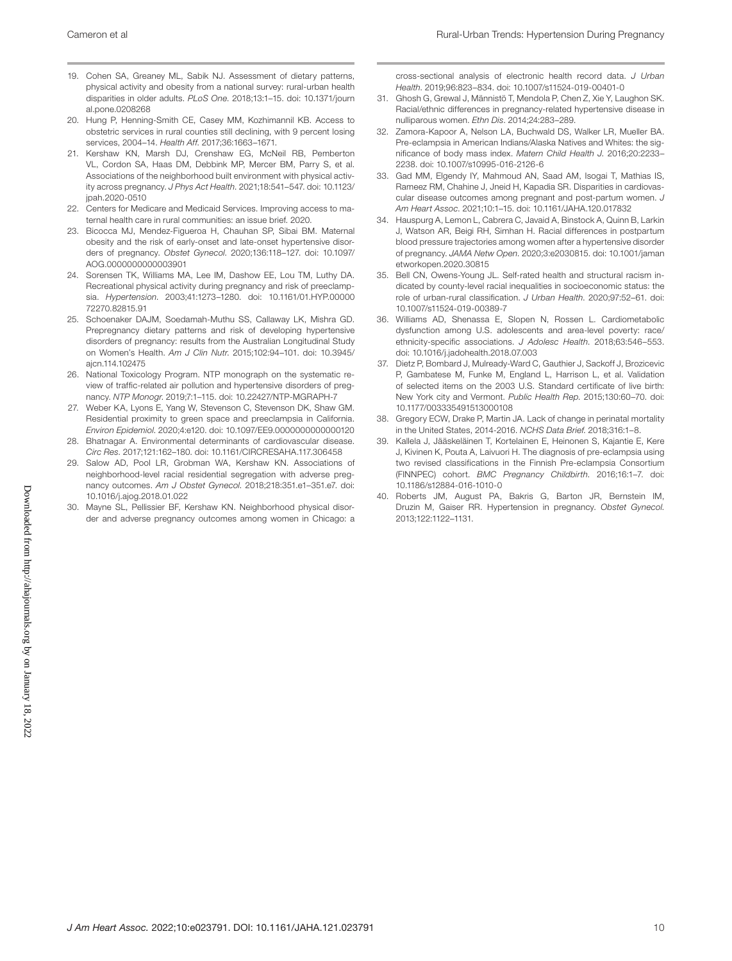- 19. Cohen SA, Greaney ML, Sabik NJ. Assessment of dietary patterns, physical activity and obesity from a national survey: rural-urban health disparities in older adults. *PLoS One*. 2018;13:1–15. doi: [10.1371/journ](https://doi.org/10.1371/journal.pone.0208268) [al.pone.0208268](https://doi.org/10.1371/journal.pone.0208268)
- 20. Hung P, Henning-Smith CE, Casey MM, Kozhimannil KB. Access to obstetric services in rural counties still declining, with 9 percent losing services, 2004–14. *Health Aff*. 2017;36:1663–1671.
- 21. Kershaw KN, Marsh DJ, Crenshaw EG, McNeil RB, Pemberton VL, Cordon SA, Haas DM, Debbink MP, Mercer BM, Parry S, et al. Associations of the neighborhood built environment with physical activity across pregnancy. *J Phys Act Health*. 2021;18:541–547. doi: [10.1123/](https://doi.org/10.1123/jpah.2020-0510) [jpah.2020-0510](https://doi.org/10.1123/jpah.2020-0510)
- 22. Centers for Medicare and Medicaid Services. Improving access to maternal health care in rural communities: an issue brief. 2020.
- 23. Bicocca MJ, Mendez-Figueroa H, Chauhan SP, Sibai BM. Maternal obesity and the risk of early-onset and late-onset hypertensive disorders of pregnancy. *Obstet Gynecol*. 2020;136:118–127. doi: [10.1097/](https://doi.org/10.1097/AOG.0000000000003901) [AOG.0000000000003901](https://doi.org/10.1097/AOG.0000000000003901)
- 24. Sorensen TK, Williams MA, Lee IM, Dashow EE, Lou TM, Luthy DA. Recreational physical activity during pregnancy and risk of preeclampsia. *Hypertension*. 2003;41:1273–1280. doi: [10.1161/01.HYP.00000](https://doi.org/10.1161/01.HYP.0000072270.82815.91) [72270.82815.91](https://doi.org/10.1161/01.HYP.0000072270.82815.91)
- 25. Schoenaker DAJM, Soedamah-Muthu SS, Callaway LK, Mishra GD. Prepregnancy dietary patterns and risk of developing hypertensive disorders of pregnancy: results from the Australian Longitudinal Study on Women's Health. *Am J Clin Nutr*. 2015;102:94–101. doi: [10.3945/](https://doi.org/10.3945/ajcn.114.102475) [ajcn.114.102475](https://doi.org/10.3945/ajcn.114.102475)
- 26. National Toxicology Program. NTP monograph on the systematic review of traffic-related air pollution and hypertensive disorders of pregnancy. *NTP Monogr*. 2019;7:1–115. doi: [10.22427/NTP-MGRAPH-7](https://doi.org/10.22427/NTP-MGRAPH-7)
- 27. Weber KA, Lyons E, Yang W, Stevenson C, Stevenson DK, Shaw GM. Residential proximity to green space and preeclampsia in California. *Environ Epidemiol*. 2020;4:e120. doi: [10.1097/EE9.0000000000000120](https://doi.org/10.1097/EE9.0000000000000120)
- 28. Bhatnagar A. Environmental determinants of cardiovascular disease. *Circ Res*. 2017;121:162–180. doi: [10.1161/CIRCRESAHA.117.306458](https://doi.org/10.1161/CIRCRESAHA.117.306458)
- 29. Salow AD, Pool LR, Grobman WA, Kershaw KN. Associations of neighborhood-level racial residential segregation with adverse pregnancy outcomes. *Am J Obstet Gynecol*. 2018;218:351.e1–351.e7. doi: [10.1016/j.ajog.2018.01.022](https://doi.org/10.1016/j.ajog.2018.01.022)
- 30. Mayne SL, Pellissier BF, Kershaw KN. Neighborhood physical disorder and adverse pregnancy outcomes among women in Chicago: a

cross-sectional analysis of electronic health record data. *J Urban Health*. 2019;96:823–834. doi: [10.1007/s11524-019-00401-0](https://doi.org/10.1007/s11524-019-00401-0)

- 31. Ghosh G, Grewal J, Männistö T, Mendola P, Chen Z, Xie Y, Laughon SK. Racial/ethnic differences in pregnancy-related hypertensive disease in nulliparous women. *Ethn Dis*. 2014;24:283–289.
- 32. Zamora-Kapoor A, Nelson LA, Buchwald DS, Walker LR, Mueller BA. Pre-eclampsia in American Indians/Alaska Natives and Whites: the significance of body mass index. *Matern Child Health J*. 2016;20:2233– 2238. doi: [10.1007/s10995-016-2126-6](https://doi.org/10.1007/s10995-016-2126-6)
- 33. Gad MM, Elgendy IY, Mahmoud AN, Saad AM, Isogai T, Mathias IS, Rameez RM, Chahine J, Jneid H, Kapadia SR. Disparities in cardiovascular disease outcomes among pregnant and post-partum women. *J Am Heart Assoc*. 2021;10:1–15. doi: [10.1161/JAHA.120.017832](https://doi.org/10.1161/JAHA.120.017832)
- 34. Hauspurg A, Lemon L, Cabrera C, Javaid A, Binstock A, Quinn B, Larkin J, Watson AR, Beigi RH, Simhan H. Racial differences in postpartum blood pressure trajectories among women after a hypertensive disorder of pregnancy. *JAMA Netw Open*. 2020;3:e2030815. doi: [10.1001/jaman](https://doi.org/10.1001/jamanetworkopen.2020.30815) [etworkopen.2020.30815](https://doi.org/10.1001/jamanetworkopen.2020.30815)
- 35. Bell CN, Owens-Young JL. Self-rated health and structural racism indicated by county-level racial inequalities in socioeconomic status: the role of urban-rural classification. *J Urban Health*. 2020;97:52–61. doi: [10.1007/s11524-019-00389-7](https://doi.org/10.1007/s11524-019-00389-7)
- 36. Williams AD, Shenassa E, Slopen N, Rossen L. Cardiometabolic dysfunction among U.S. adolescents and area-level poverty: race/ ethnicity-specific associations. *J Adolesc Health*. 2018;63:546–553. doi: [10.1016/j.jadohealth.2018.07.003](https://doi.org/10.1016/j.jadohealth.2018.07.003)
- 37. Dietz P, Bombard J, Mulready-Ward C, Gauthier J, Sackoff J, Brozicevic P, Gambatese M, Funke M, England L, Harrison L, et al. Validation of selected items on the 2003 U.S. Standard certificate of live birth: New York city and Vermont. *Public Health Rep*. 2015;130:60–70. doi: [10.1177/003335491513000108](https://doi.org/10.1177/003335491513000108)
- 38. Gregory ECW, Drake P, Martin JA. Lack of change in perinatal mortality in the United States, 2014-2016. *NCHS Data Brief*. 2018;316:1–8.
- 39. Kallela J, Jääskeläinen T, Kortelainen E, Heinonen S, Kajantie E, Kere J, Kivinen K, Pouta A, Laivuori H. The diagnosis of pre-eclampsia using two revised classifications in the Finnish Pre-eclampsia Consortium (FINNPEC) cohort. *BMC Pregnancy Childbirth*. 2016;16:1–7. doi: [10.1186/s12884-016-1010-0](https://doi.org/10.1186/s12884-016-1010-0)
- 40. Roberts JM, August PA, Bakris G, Barton JR, Bernstein IM, Druzin M, Gaiser RR. Hypertension in pregnancy. *Obstet Gynecol*. 2013;122:1122–1131.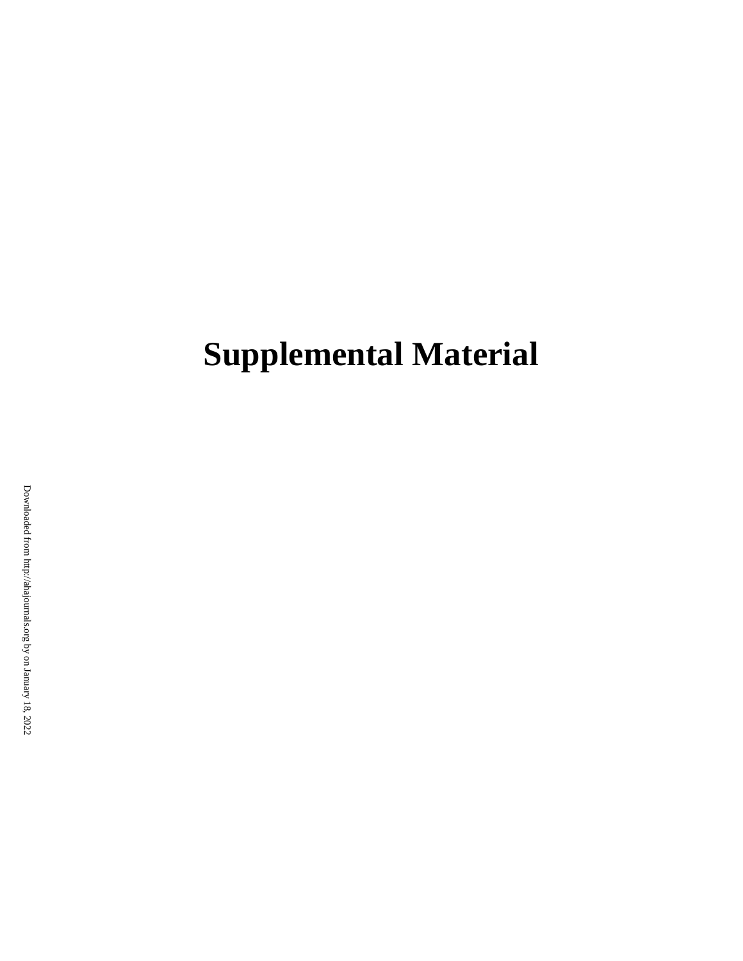# **Supplemental Material**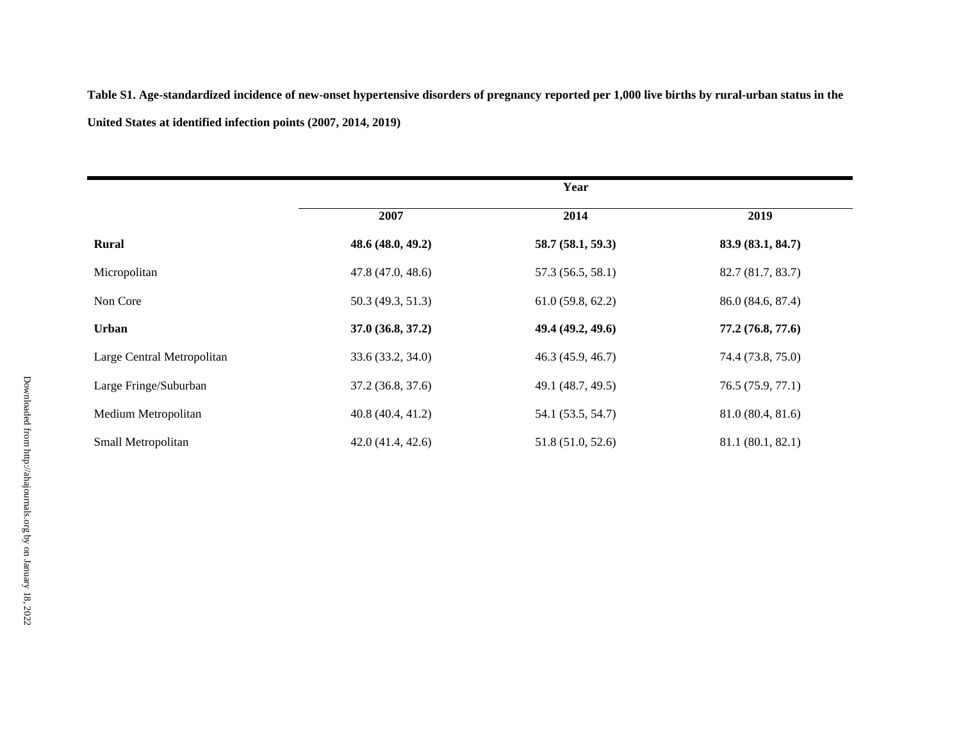**Table S1. Age-standardized incidence of new-onset hypertensive disorders of pregnancy reported per 1,000 live births by rural-urban status in the United States at identified infection points (2007, 2014, 2019)** 

|                            | Year              |                   |                   |
|----------------------------|-------------------|-------------------|-------------------|
|                            | 2007              | 2014              | 2019              |
| Rural                      | 48.6 (48.0, 49.2) | 58.7(58.1, 59.3)  | 83.9 (83.1, 84.7) |
| Micropolitan               | 47.8(47.0, 48.6)  | 57.3 (56.5, 58.1) | 82.7 (81.7, 83.7) |
| Non Core                   | 50.3 (49.3, 51.3) | 61.0(59.8, 62.2)  | 86.0 (84.6, 87.4) |
| Urban                      | 37.0 (36.8, 37.2) | 49.4 (49.2, 49.6) | 77.2 (76.8, 77.6) |
| Large Central Metropolitan | 33.6 (33.2, 34.0) | 46.3(45.9, 46.7)  | 74.4 (73.8, 75.0) |
| Large Fringe/Suburban      | 37.2 (36.8, 37.6) | 49.1 (48.7, 49.5) | 76.5 (75.9, 77.1) |
| Medium Metropolitan        | 40.8(40.4, 41.2)  | 54.1 (53.5, 54.7) | 81.0 (80.4, 81.6) |
| Small Metropolitan         | 42.0(41.4, 42.6)  | 51.8 (51.0, 52.6) | 81.1 (80.1, 82.1) |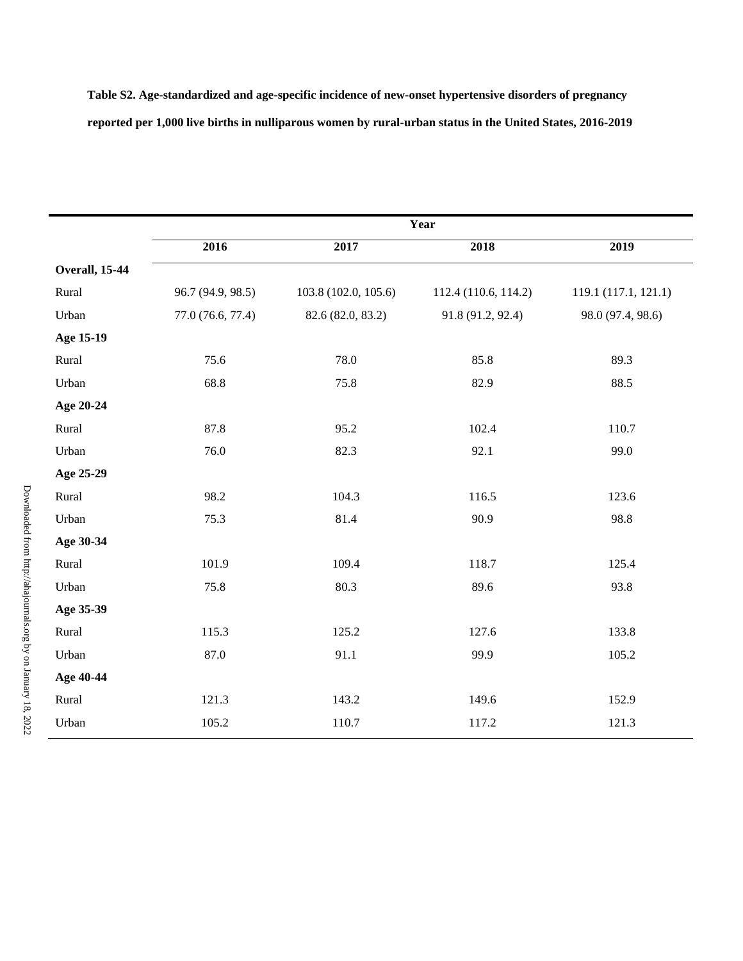**Table S2. Age-standardized and age-specific incidence of new-onset hypertensive disorders of pregnancy reported per 1,000 live births in nulliparous women by rural-urban status in the United States, 2016-2019** 

|                        | Year              |                      |                      |                      |
|------------------------|-------------------|----------------------|----------------------|----------------------|
|                        | 2016              | 2017                 | 2018                 | 2019                 |
| <b>Overall</b> , 15-44 |                   |                      |                      |                      |
| Rural                  | 96.7 (94.9, 98.5) | 103.8 (102.0, 105.6) | 112.4 (110.6, 114.2) | 119.1 (117.1, 121.1) |
| Urban                  | 77.0 (76.6, 77.4) | 82.6 (82.0, 83.2)    | 91.8 (91.2, 92.4)    | 98.0 (97.4, 98.6)    |
| Age 15-19              |                   |                      |                      |                      |
| Rural                  | 75.6              | 78.0                 | 85.8                 | 89.3                 |
| Urban                  | 68.8              | 75.8                 | 82.9                 | 88.5                 |
| Age 20-24              |                   |                      |                      |                      |
| Rural                  | 87.8              | 95.2                 | 102.4                | 110.7                |
| Urban                  | 76.0              | 82.3                 | 92.1                 | 99.0                 |
| Age 25-29              |                   |                      |                      |                      |
| Rural                  | 98.2              | 104.3                | 116.5                | 123.6                |
| Urban                  | 75.3              | 81.4                 | 90.9                 | 98.8                 |
| Age 30-34              |                   |                      |                      |                      |
| Rural                  | 101.9             | 109.4                | 118.7                | 125.4                |
| Urban                  | 75.8              | 80.3                 | 89.6                 | 93.8                 |
| Age 35-39              |                   |                      |                      |                      |
| Rural                  | 115.3             | 125.2                | 127.6                | 133.8                |
| Urban                  | 87.0              | 91.1                 | 99.9                 | 105.2                |
| Age 40-44              |                   |                      |                      |                      |
| Rural                  | 121.3             | 143.2                | 149.6                | 152.9                |
| Urban                  | 105.2             | 110.7                | 117.2                | 121.3                |
|                        |                   |                      |                      |                      |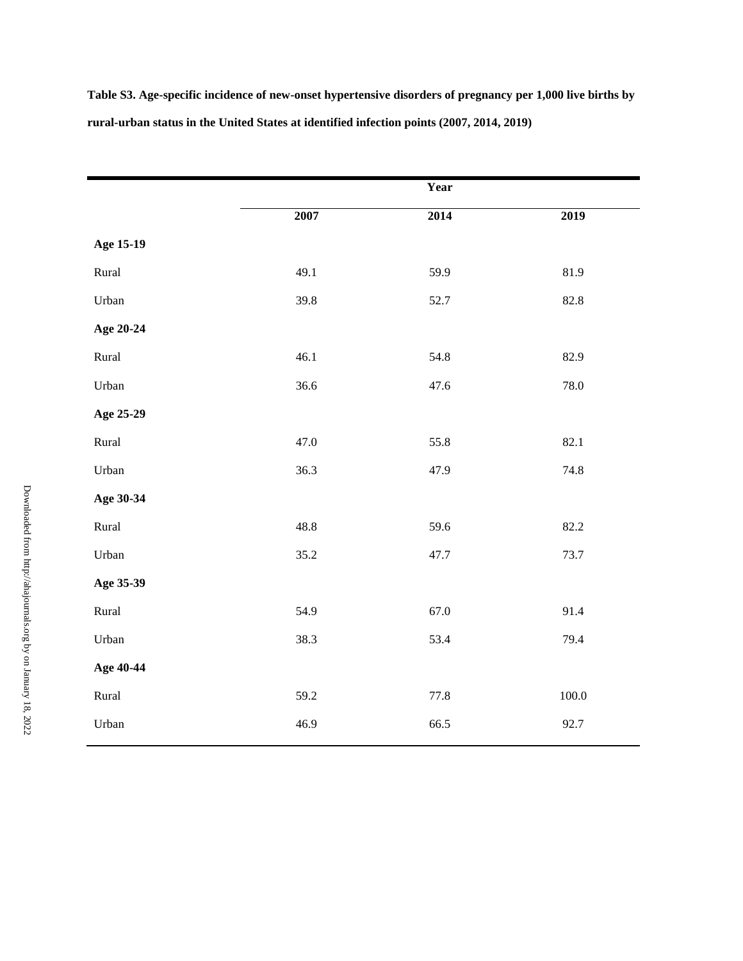**Table S3. Age-specific incidence of new-onset hypertensive disorders of pregnancy per 1,000 live births by rural-urban status in the United States at identified infection points (2007, 2014, 2019)** 

|           |      | Year |           |
|-----------|------|------|-----------|
|           | 2007 | 2014 | 2019      |
| Age 15-19 |      |      |           |
| Rural     | 49.1 | 59.9 | 81.9      |
| Urban     | 39.8 | 52.7 | 82.8      |
| Age 20-24 |      |      |           |
| Rural     | 46.1 | 54.8 | 82.9      |
| Urban     | 36.6 | 47.6 | 78.0      |
| Age 25-29 |      |      |           |
| Rural     | 47.0 | 55.8 | 82.1      |
| Urban     | 36.3 | 47.9 | 74.8      |
| Age 30-34 |      |      |           |
| Rural     | 48.8 | 59.6 | 82.2      |
| Urban     | 35.2 | 47.7 | 73.7      |
| Age 35-39 |      |      |           |
| Rural     | 54.9 | 67.0 | 91.4      |
| Urban     | 38.3 | 53.4 | 79.4      |
| Age 40-44 |      |      |           |
| Rural     | 59.2 | 77.8 | $100.0\,$ |
| Urban     | 46.9 | 66.5 | 92.7      |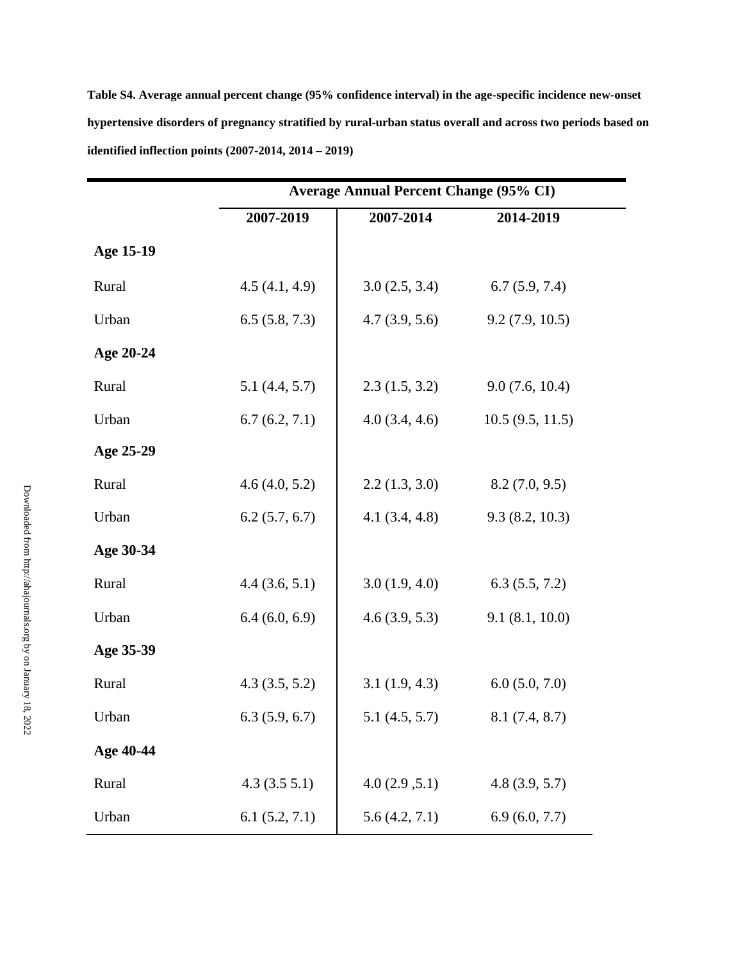**Table S4. Average annual percent change (95% confidence interval) in the age-specific incidence new-onset hypertensive disorders of pregnancy stratified by rural-urban status overall and across two periods based on identified inflection points (2007-2014, 2014 – 2019)** 

|           | <b>Average Annual Percent Change (95% CI)</b> |               |                 |  |
|-----------|-----------------------------------------------|---------------|-----------------|--|
|           | 2007-2019                                     | 2007-2014     | 2014-2019       |  |
| Age 15-19 |                                               |               |                 |  |
| Rural     | 4.5(4.1, 4.9)                                 | 3.0(2.5, 3.4) | 6.7(5.9, 7.4)   |  |
| Urban     | 6.5(5.8, 7.3)                                 | 4.7(3.9, 5.6) | 9.2(7.9, 10.5)  |  |
| Age 20-24 |                                               |               |                 |  |
| Rural     | 5.1(4.4, 5.7)                                 | 2.3(1.5, 3.2) | 9.0(7.6, 10.4)  |  |
| Urban     | 6.7(6.2, 7.1)                                 | 4.0(3.4, 4.6) | 10.5(9.5, 11.5) |  |
| Age 25-29 |                                               |               |                 |  |
| Rural     | 4.6(4.0, 5.2)                                 | 2.2(1.3, 3.0) | 8.2(7.0, 9.5)   |  |
| Urban     | 6.2(5.7, 6.7)                                 | 4.1(3.4, 4.8) | 9.3(8.2, 10.3)  |  |
| Age 30-34 |                                               |               |                 |  |
| Rural     | 4.4(3.6, 5.1)                                 | 3.0(1.9, 4.0) | 6.3(5.5, 7.2)   |  |
| Urban     | 6.4(6.0, 6.9)                                 | 4.6(3.9, 5.3) | 9.1(8.1, 10.0)  |  |
| Age 35-39 |                                               |               |                 |  |
| Rural     | 4.3(3.5, 5.2)                                 | 3.1(1.9, 4.3) | 6.0(5.0, 7.0)   |  |
| Urban     | 6.3(5.9, 6.7)                                 | 5.1(4.5, 5.7) | 8.1(7.4, 8.7)   |  |
| Age 40-44 |                                               |               |                 |  |
| Rural     | 4.3(3.55.1)                                   | 4.0(2.9, 5.1) | 4.8(3.9, 5.7)   |  |
| Urban     | 6.1(5.2, 7.1)                                 | 5.6(4.2, 7.1) | 6.9(6.0, 7.7)   |  |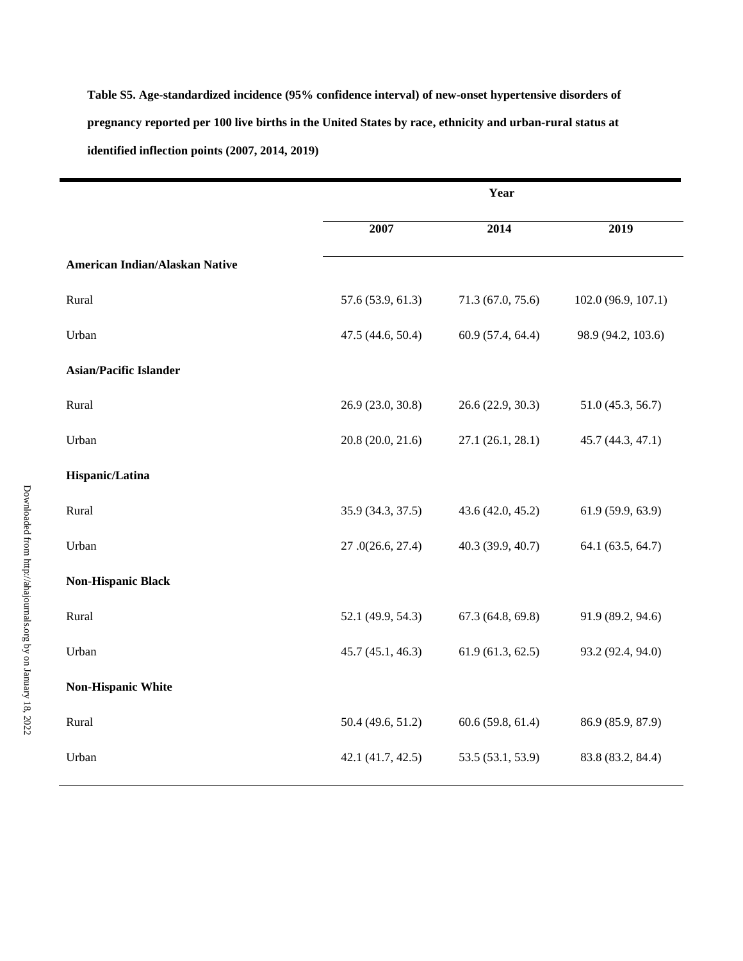**Table S5. Age-standardized incidence (95% confidence interval) of new-onset hypertensive disorders of pregnancy reported per 100 live births in the United States by race, ethnicity and urban-rural status at identified inflection points (2007, 2014, 2019)** 

|                                | Year              |                   |                     |
|--------------------------------|-------------------|-------------------|---------------------|
|                                | 2007              | 2014              | 2019                |
| American Indian/Alaskan Native |                   |                   |                     |
| Rural                          | 57.6 (53.9, 61.3) | 71.3 (67.0, 75.6) | 102.0 (96.9, 107.1) |
| Urban                          | 47.5 (44.6, 50.4) | 60.9 (57.4, 64.4) | 98.9 (94.2, 103.6)  |
| <b>Asian/Pacific Islander</b>  |                   |                   |                     |
| Rural                          | 26.9 (23.0, 30.8) | 26.6 (22.9, 30.3) | 51.0 (45.3, 56.7)   |
| Urban                          | 20.8 (20.0, 21.6) | 27.1 (26.1, 28.1) | 45.7 (44.3, 47.1)   |
| Hispanic/Latina                |                   |                   |                     |
| Rural                          | 35.9 (34.3, 37.5) | 43.6 (42.0, 45.2) | 61.9 (59.9, 63.9)   |
| Urban                          | 27.0(26.6, 27.4)  | 40.3 (39.9, 40.7) | 64.1 (63.5, 64.7)   |
| <b>Non-Hispanic Black</b>      |                   |                   |                     |
| Rural                          | 52.1 (49.9, 54.3) | 67.3(64.8, 69.8)  | 91.9 (89.2, 94.6)   |
| Urban                          | 45.7(45.1, 46.3)  | 61.9(61.3, 62.5)  | 93.2 (92.4, 94.0)   |
| <b>Non-Hispanic White</b>      |                   |                   |                     |
| Rural                          | 50.4 (49.6, 51.2) | 60.6(59.8, 61.4)  | 86.9 (85.9, 87.9)   |
| Urban                          | 42.1 (41.7, 42.5) | 53.5 (53.1, 53.9) | 83.8 (83.2, 84.4)   |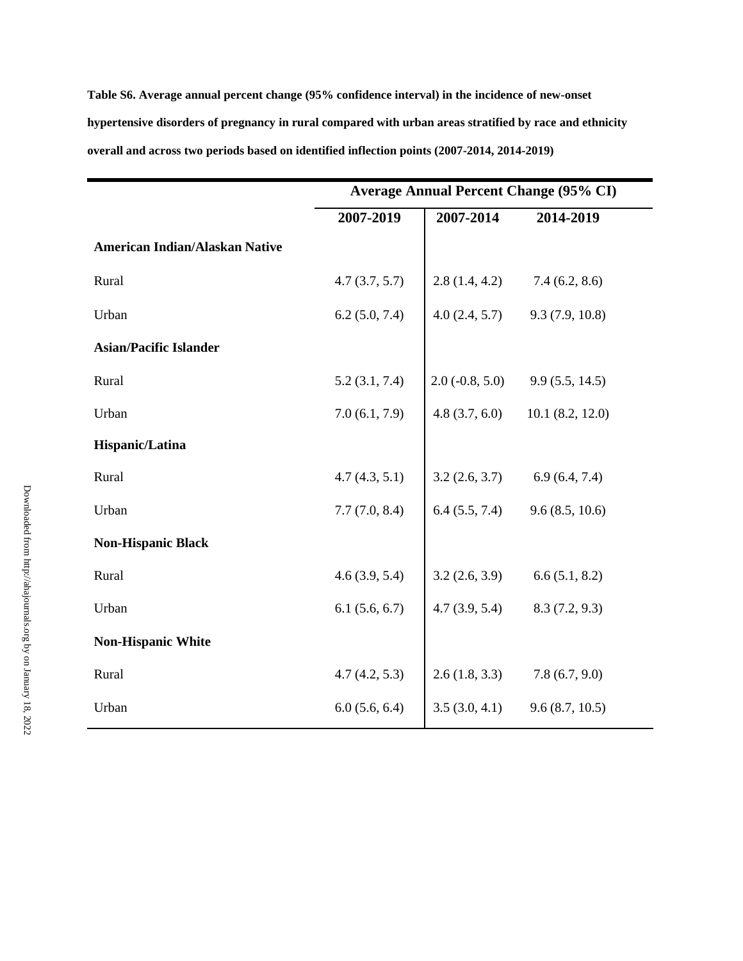**Table S6. Average annual percent change (95% confidence interval) in the incidence of new-onset hypertensive disorders of pregnancy in rural compared with urban areas stratified by race and ethnicity overall and across two periods based on identified inflection points (2007-2014, 2014-2019)**

|                                       | <b>Average Annual Percent Change (95% CI)</b> |                                    |                 |
|---------------------------------------|-----------------------------------------------|------------------------------------|-----------------|
|                                       | 2007-2019                                     | 2007-2014                          | 2014-2019       |
| <b>American Indian/Alaskan Native</b> |                                               |                                    |                 |
| Rural                                 | 4.7(3.7, 5.7)                                 | $2.8(1.4, 4.2)$ $7.4(6.2, 8.6)$    |                 |
| Urban                                 | 6.2(5.0, 7.4)                                 | 4.0 $(2.4, 5.7)$ 9.3 $(7.9, 10.8)$ |                 |
| <b>Asian/Pacific Islander</b>         |                                               |                                    |                 |
| Rural                                 | 5.2(3.1, 7.4)                                 | $2.0(-0.8, 5.0)$                   | 9.9(5.5, 14.5)  |
| Urban                                 | 7.0(6.1, 7.9)                                 | 4.8(3.7, 6.0)                      | 10.1(8.2, 12.0) |
| Hispanic/Latina                       |                                               |                                    |                 |
| Rural                                 | 4.7(4.3, 5.1)                                 | 3.2(2.6, 3.7)                      | 6.9(6.4, 7.4)   |
| Urban                                 | 7.7(7.0, 8.4)                                 | 6.4(5.5, 7.4)                      | 9.6(8.5, 10.6)  |
| <b>Non-Hispanic Black</b>             |                                               |                                    |                 |
| Rural                                 | 4.6(3.9, 5.4)                                 | $3.2(2.6, 3.9)$ $6.6(5.1, 8.2)$    |                 |
| Urban                                 | 6.1(5.6, 6.7)                                 | $4.7(3.9, 5.4)$ $8.3(7.2, 9.3)$    |                 |
| <b>Non-Hispanic White</b>             |                                               |                                    |                 |
| Rural                                 | 4.7(4.2, 5.3)                                 | 2.6(1.8, 3.3)                      | 7.8(6.7, 9.0)   |
| Urban                                 | 6.0(5.6, 6.4)                                 | $3.5(3.0, 4.1)$ $9.6(8.7, 10.5)$   |                 |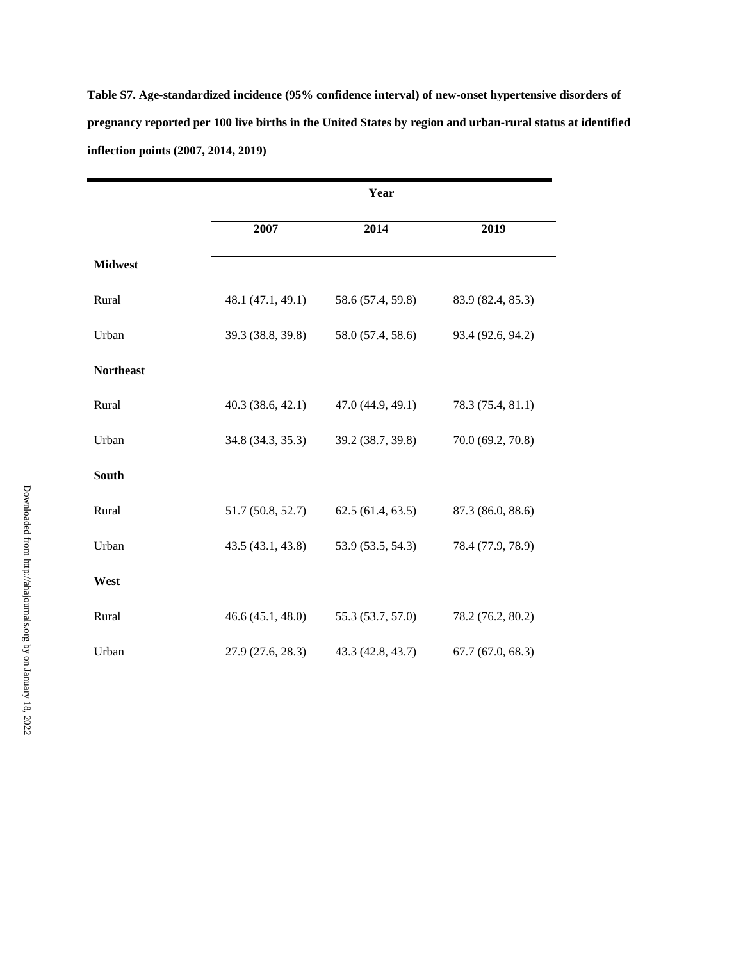**Table S7. Age-standardized incidence (95% confidence interval) of new-onset hypertensive disorders of pregnancy reported per 100 live births in the United States by region and urban-rural status at identified inflection points (2007, 2014, 2019)** 

|                  | Year              |                   |                   |  |
|------------------|-------------------|-------------------|-------------------|--|
|                  | 2007              | 2014              | 2019              |  |
| <b>Midwest</b>   |                   |                   |                   |  |
| Rural            | 48.1 (47.1, 49.1) | 58.6 (57.4, 59.8) | 83.9 (82.4, 85.3) |  |
| Urban            | 39.3 (38.8, 39.8) | 58.0 (57.4, 58.6) | 93.4 (92.6, 94.2) |  |
| <b>Northeast</b> |                   |                   |                   |  |
| Rural            | 40.3(38.6, 42.1)  | 47.0 (44.9, 49.1) | 78.3 (75.4, 81.1) |  |
| Urban            | 34.8 (34.3, 35.3) | 39.2 (38.7, 39.8) | 70.0 (69.2, 70.8) |  |
| South            |                   |                   |                   |  |
| Rural            | 51.7 (50.8, 52.7) | 62.5(61.4, 63.5)  | 87.3 (86.0, 88.6) |  |
| Urban            | 43.5 (43.1, 43.8) | 53.9 (53.5, 54.3) | 78.4 (77.9, 78.9) |  |
| West             |                   |                   |                   |  |
| Rural            | 46.6(45.1, 48.0)  | 55.3 (53.7, 57.0) | 78.2 (76.2, 80.2) |  |
| Urban            | 27.9 (27.6, 28.3) | 43.3 (42.8, 43.7) | 67.7(67.0, 68.3)  |  |